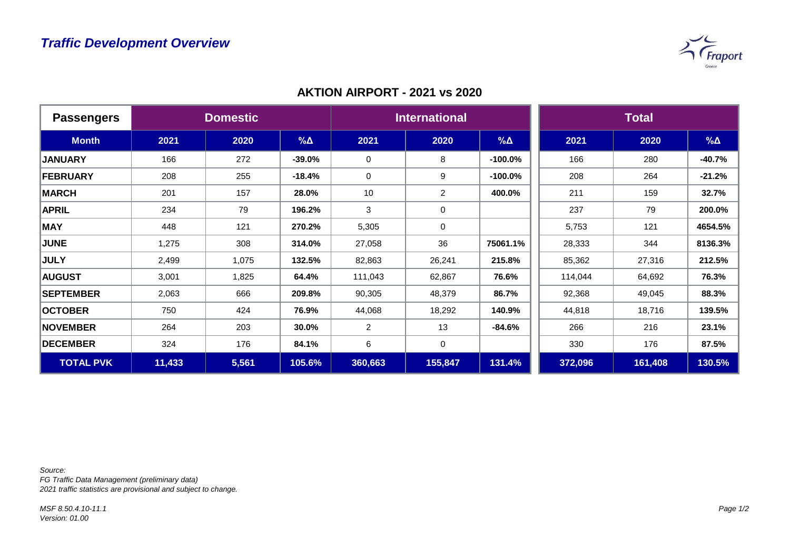

| <b>Passengers</b> | <b>Domestic</b> |       |            | <b>International</b> |                |             | <b>Total</b> |         |             |
|-------------------|-----------------|-------|------------|----------------------|----------------|-------------|--------------|---------|-------------|
| <b>Month</b>      | 2021            | 2020  | $% \Delta$ | 2021                 | 2020           | $\% \Delta$ | 2021         | 2020    | $\% \Delta$ |
| <b>JANUARY</b>    | 166             | 272   | $-39.0%$   | $\mathbf 0$          | 8              | $-100.0%$   | 166          | 280     | $-40.7%$    |
| FEBRUARY          | 208             | 255   | $-18.4%$   | $\mathbf 0$          | 9              | $-100.0%$   | 208          | 264     | $-21.2%$    |
| <b>MARCH</b>      | 201             | 157   | 28.0%      | 10                   | $\overline{2}$ | 400.0%      | 211          | 159     | 32.7%       |
| <b>APRIL</b>      | 234             | 79    | 196.2%     | 3                    | 0              |             | 237          | 79      | 200.0%      |
| <b>MAY</b>        | 448             | 121   | 270.2%     | 5,305                | $\mathbf 0$    |             | 5,753        | 121     | 4654.5%     |
| <b>JUNE</b>       | 1,275           | 308   | 314.0%     | 27,058               | 36             | 75061.1%    | 28,333       | 344     | 8136.3%     |
| <b>JULY</b>       | 2,499           | 1,075 | 132.5%     | 82,863               | 26,241         | 215.8%      | 85,362       | 27,316  | 212.5%      |
| <b>AUGUST</b>     | 3,001           | 1,825 | 64.4%      | 111,043              | 62,867         | 76.6%       | 114,044      | 64,692  | 76.3%       |
| <b>SEPTEMBER</b>  | 2,063           | 666   | 209.8%     | 90,305               | 48,379         | 86.7%       | 92,368       | 49,045  | 88.3%       |
| <b>OCTOBER</b>    | 750             | 424   | 76.9%      | 44,068               | 18,292         | 140.9%      | 44,818       | 18,716  | 139.5%      |
| <b>NOVEMBER</b>   | 264             | 203   | 30.0%      | $\overline{2}$       | 13             | $-84.6%$    | 266          | 216     | 23.1%       |
| <b>DECEMBER</b>   | 324             | 176   | 84.1%      | 6                    | $\mathsf 0$    |             | 330          | 176     | 87.5%       |
| <b>TOTAL PVK</b>  | 11,433          | 5,561 | 105.6%     | 360,663              | 155,847        | 131.4%      | 372,096      | 161,408 | 130.5%      |

## **AKTION AIRPORT - 2021 vs 2020**

*Source:* 

*FG Traffic Data Management (preliminary data) 2021 traffic statistics are provisional and subject to change.*

*MSF 8.50.4.10-11.1 Version: 01.00*